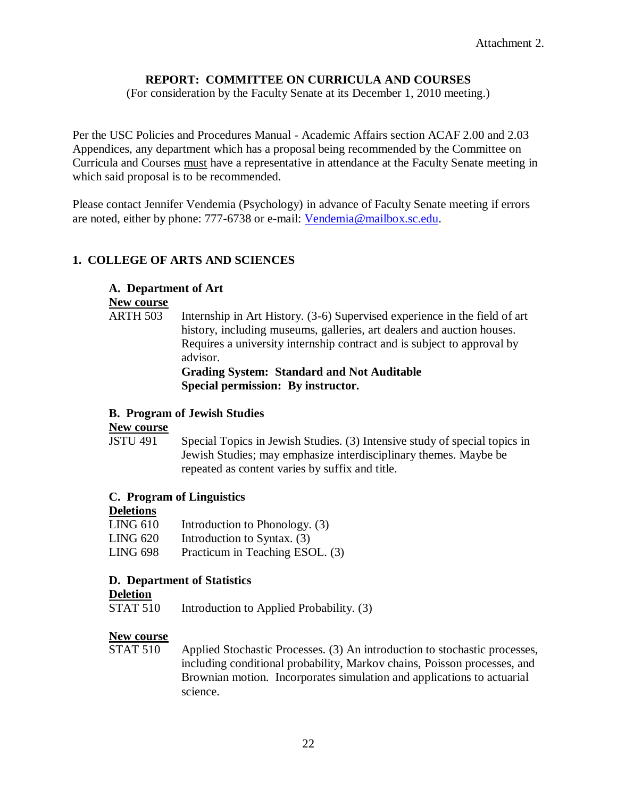### **REPORT: COMMITTEE ON CURRICULA AND COURSES**

(For consideration by the Faculty Senate at its December 1, 2010 meeting.)

Per the USC Policies and Procedures Manual - Academic Affairs section ACAF 2.00 and 2.03 Appendices, any department which has a proposal being recommended by the Committee on Curricula and Courses must have a representative in attendance at the Faculty Senate meeting in which said proposal is to be recommended.

Please contact Jennifer Vendemia (Psychology) in advance of Faculty Senate meeting if errors are noted, either by phone: 777-6738 or e-mail: [Vendemia@mailbox.sc.edu.](mailto:Vendemia@mailbox.sc.edu)

### **1. COLLEGE OF ARTS AND SCIENCES**

#### **A. Department of Art**

#### **New course**

ARTH 503 Internship in Art History. (3-6) Supervised experience in the field of art history, including museums, galleries, art dealers and auction houses. Requires a university internship contract and is subject to approval by advisor. **Grading System: Standard and Not Auditable**

**Special permission: By instructor.**

#### **B. Program of Jewish Studies**

#### **New course**

JSTU 491 Special Topics in Jewish Studies. (3) Intensive study of special topics in Jewish Studies; may emphasize interdisciplinary themes. Maybe be repeated as content varies by suffix and title.

#### **C. Program of Linguistics**

#### **Deletions**

LING  $610$  Introduction to Phonology. (3) LING 620 Introduction to Syntax. (3) LING 698 Practicum in Teaching ESOL. (3)

#### **D. Department of Statistics**

#### **Deletion**

STAT 510 Introduction to Applied Probability. (3)

#### **New course**

STAT 510 Applied Stochastic Processes. (3) An introduction to stochastic processes, including conditional probability, Markov chains, Poisson processes, and Brownian motion. Incorporates simulation and applications to actuarial science.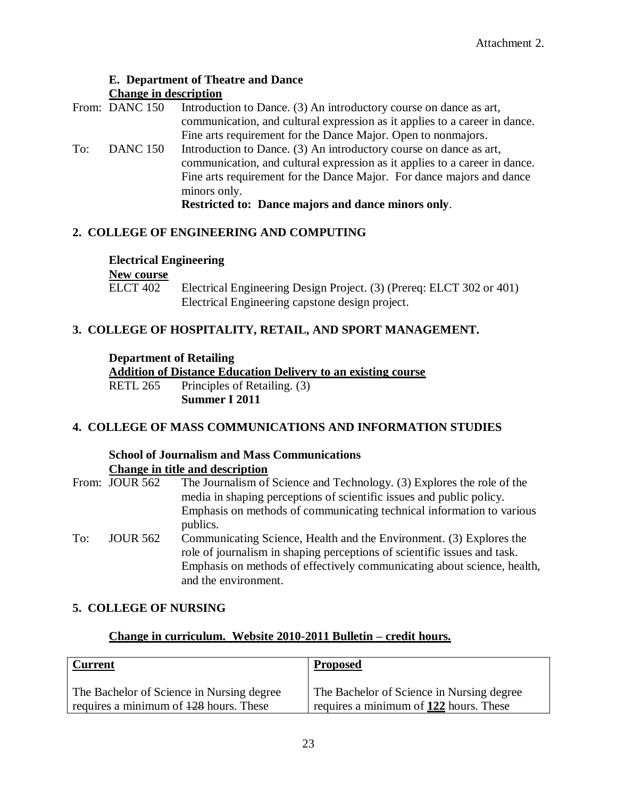#### **E. Department of Theatre and Dance Change in description**

|     | From: DANC 150  | Introduction to Dance. (3) An introductory course on dance as art,         |  |  |  |
|-----|-----------------|----------------------------------------------------------------------------|--|--|--|
|     |                 | communication, and cultural expression as it applies to a career in dance. |  |  |  |
|     |                 | Fine arts requirement for the Dance Major. Open to nonmajors.              |  |  |  |
| To: | <b>DANC 150</b> | Introduction to Dance. (3) An introductory course on dance as art,         |  |  |  |
|     |                 | communication, and cultural expression as it applies to a career in dance. |  |  |  |
|     |                 | Fine arts requirement for the Dance Major. For dance majors and dance      |  |  |  |
|     |                 | minors only.                                                               |  |  |  |

**Restricted to: Dance majors and dance minors only**.

### **2. COLLEGE OF ENGINEERING AND COMPUTING**

#### **Electrical Engineering**

## **New course**<br>**ELCT** 402

ELCT 402 Electrical Engineering Design Project. (3) (Prereq: ELCT 302 or 401) Electrical Engineering capstone design project.

### **3. COLLEGE OF HOSPITALITY, RETAIL, AND SPORT MANAGEMENT.**

#### **Department of Retailing**

**Addition of Distance Education Delivery to an existing course** RETL 265 Principles of Retailing. (3)

**Summer I 2011**

## **4. COLLEGE OF MASS COMMUNICATIONS AND INFORMATION STUDIES**

#### **School of Journalism and Mass Communications Change in title and description**

|                        | From: JOUR 562 | The Journalism of Science and Technology. (3) Explores the role of the<br>media in shaping perceptions of scientific issues and public policy.                                                                                                     |
|------------------------|----------------|----------------------------------------------------------------------------------------------------------------------------------------------------------------------------------------------------------------------------------------------------|
|                        |                | Emphasis on methods of communicating technical information to various<br>publics.                                                                                                                                                                  |
| <b>JOUR 562</b><br>To: |                | Communicating Science, Health and the Environment. (3) Explores the<br>role of journalism in shaping perceptions of scientific issues and task.<br>Emphasis on methods of effectively communicating about science, health,<br>and the environment. |

## **5. COLLEGE OF NURSING**

### **Change in curriculum. Website 2010-2011 Bulletin – credit hours.**

| <b>Current</b>                            | <b>Proposed</b>                           |
|-------------------------------------------|-------------------------------------------|
| The Bachelor of Science in Nursing degree | The Bachelor of Science in Nursing degree |
| requires a minimum of 128 hours. These    | requires a minimum of 122 hours. These    |